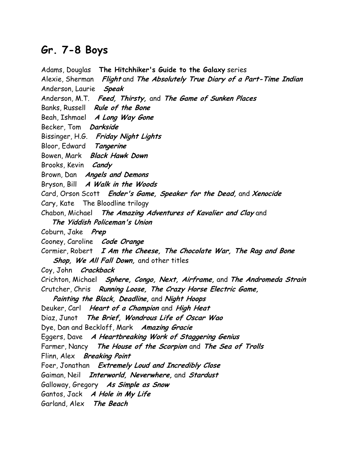## Gr. 7-8 Boys

Adams, Douglas The Hitchhiker's Guide to the Galaxy series Alexie, Sherman Flight and The Absolutely True Diary of a Part-Time Indian Anderson, Laurie Speak Anderson, M.T. Feed, Thirsty, and The Game of Sunken Places Banks, Russell Rule of the Bone Beah, Ishmael A Long Way Gone Becker, Tom Darkside Bissinger, H.G. Friday Night Lights Bloor, Edward Tangerine Bowen, Mark Black Hawk Down Brooks, Kevin Candy Brown, Dan **Angels and Demons** Bryson, Bill A Walk in the Woods Card, Orson Scott Ender's Game, Speaker for the Dead, and Xenocide Cary, Kate The Bloodline trilogy Chabon, Michael The Amazing Adventures of Kavalier and Clay and The Yiddish Policeman's Union Coburn, Jake Prep Cooney, Caroline Code Orange Cormier, Robert  $I$  Am the Cheese, The Chocolate War, The Rag and Bone Shop, We All Fall Down, and other titles Coy, John Crackback Crichton, Michael Sphere, Congo, Next, Airframe, and The Andromeda Strain Crutcher, Chris Running Loose, The Crazy Horse Electric Game, Painting the Black, Deadline, and Night Hoops Deuker, Carl Heart of a Champion and High Heat Diaz, Junot The Brief, Wondrous Life of Oscar Wao Dye, Dan and Beckloff, Mark Amazing Gracie Eggers, Dave A Heartbreaking Work of Staggering Genius Farmer, Nancy The House of the Scorpion and The Sea of Trolls Flinn, Alex Breaking Point Foer, Jonathan Extremely Loud and Incredibly Close Gaiman, Neil Interworld, Neverwhere, and Stardust Galloway, Gregory As Simple as Snow Gantos, Jack A Hole in My Life Garland, Alex The Beach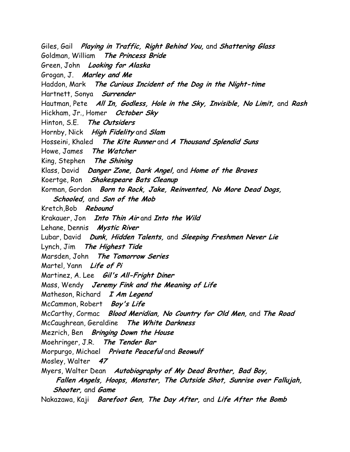Giles, Gail Playing in Traffic, Right Behind You, and Shattering Glass Goldman, William The Princess Bride Green, John Looking for Alaska Grogan, J. Marley and Me Haddon, Mark The Curious Incident of the Dog in the Night-time Hartnett, Sonya Surrender Hautman, Pete All In, Godless, Hole in the Sky, Invisible, No Limit, and Rash Hickham, Jr., Homer October Sky Hinton, S.E. The Outsiders Hornby, Nick High Fidelity and Slam Hosseini, Khaled The Kite Runner and A Thousand Splendid Suns Howe, James The Watcher King, Stephen The Shining Klass, David Danger Zone, Dark Angel, and Home of the Braves Koertge, Ron Shakespeare Bats Cleanup Korman, Gordon Born to Rock, Jake, Reinvented, No More Dead Dogs, Schooled, and Son of the Mob Kretch,Bob Rebound Krakauer, Jon Into Thin Air and Into the Wild Lehane, Dennis Mystic River Lubar, David Dunk, Hidden Talents, and Sleeping Freshmen Never Lie Lynch, Jim The Highest Tide Marsden, John The Tomorrow Series Martel, Yann Life of Pi Martinez, A. Lee Gil's All-Fright Diner Mass, Wendy Jeremy Fink and the Meaning of Life Matheson, Richard I Am Legend McCammon, Robert Boy's Life McCarthy, Cormac Blood Meridian, No Country for Old Men, and The Road McCaughrean, Geraldine The White Darkness Mezrich, Ben Bringing Down the House Moehringer, J.R. The Tender Bar Morpurgo, Michael Private Peaceful and Beowulf Mosley, Walter 47 Myers, Walter Dean Autobiography of My Dead Brother, Bad Boy, Fallen Angels, Hoops, Monster, The Outside Shot, Sunrise over Fallujah, Shooter, and Game Nakazawa, Kaji Barefoot Gen, The Day After, and Life After the Bomb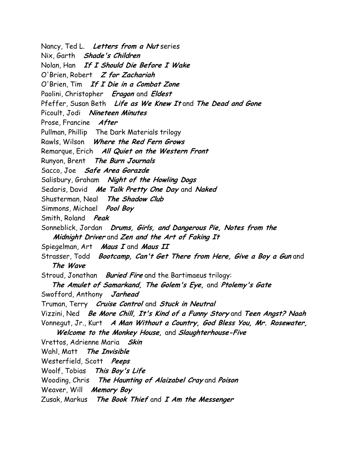Nancy, Ted L. Letters from a Nut series Nix, Garth Shade's Children Nolan, Han If I Should Die Before I Wake O'Brien, Robert Z for Zachariah O'Brien, Tim If I Die in a Combat Zone Paolini, Christopher Eragon and Eldest Pfeffer, Susan Beth Life as We Knew It and The Dead and Gone Picoult, Jodi Nineteen Minutes Prose, Francine After Pullman, Phillip The Dark Materials trilogy Rawls, Wilson Where the Red Fern Grows Remarque, Erich All Quiet on the Western Front Runyon, Brent The Burn Journals Sacco, Joe Safe Area Gorazde Salisbury, Graham Night of the Howling Dogs Sedaris, David Me Talk Pretty One Day and Naked Shusterman, Neal The Shadow Club Simmons, Michael Pool Boy Smith, Roland Peak Sonneblick, Jordan Drums, Girls, and Dangerous Pie, Notes from the Midnight Driver and Zen and the Art of Faking It Spiegelman, Art Maus I and Maus II Strasser, Todd Bootcamp, Can't Get There from Here, Give a Boy a Gun and The Wave Stroud, Jonathan *Buried Fire* and the Bartimaeus trilogy: The Amulet of Samarkand, The Golem's Eye, and Ptolemy's Gate Swofford, Anthony Jarhead Truman, Terry *Cruise Control* and Stuck in Neutral Vizzini, Ned Be More Chill, It's Kind of a Funny Story and Teen Angst? Naah Vonnegut, Jr., Kurt A Man Without a Country, God Bless You, Mr. Rosewater, Welcome to the Monkey House, and Slaughterhouse-Five Vrettos, Adrienne Maria Skin Wahl, Matt The Invisible Westerfield, Scott Peeps Woolf, Tobias This Boy's Life Wooding, Chris The Haunting of Alaizabel Cray and Poison Weaver, Will **Memory Boy** Zusak, Markus The Book Thief and I Am the Messenger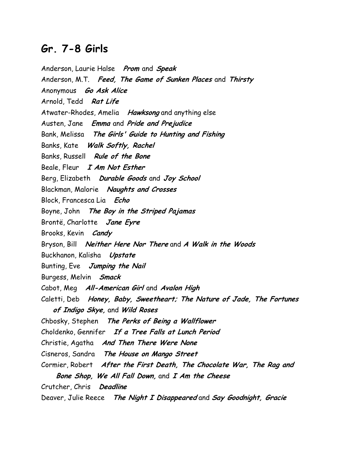## Gr. 7-8 Girls

Anderson, Laurie Halse Prom and Speak Anderson, M.T. Feed, The Game of Sunken Places and Thirsty Anonymous *Go Ask Alice* Arnold, Tedd Rat Life Atwater-Rhodes, Amelia Hawksong and anything else Austen, Jane Emma and Pride and Prejudice Bank, Melissa The Girls' Guide to Hunting and Fishing Banks, Kate Walk Softly, Rachel Banks, Russell Rule of the Bone Beale, Fleur I Am Not Esther Berg, Elizabeth Durable Goods and Joy School Blackman, Malorie Naughts and Crosses Block, Francesca Lia Echo Boyne, John The Boy in the Striped Pajamas Brontë, Charlotte Jane Eyre Brooks, Kevin Candy Bryson, Bill Neither Here Nor There and A Walk in the Woods Buckhanon, Kalisha Upstate Bunting, Eve Jumping the Nail Burgess, Melvin Smack Cabot, Meg All-American Girl and Avalon High Caletti, Deb Honey, Baby, Sweetheart; The Nature of Jade, The Fortunes of Indigo Skye, and Wild Roses Chbosky, Stephen The Perks of Being a Wallflower Choldenko, Gennifer If a Tree Falls at Lunch Period Christie, Agatha And Then There Were None Cisneros, Sandra The House on Mango Street Cormier, Robert After the First Death, The Chocolate War, The Rag and Bone Shop, We All Fall Down, and I Am the Cheese Crutcher, Chris Deadline Deaver, Julie Reece The Night I Disappeared and Say Goodnight, Gracie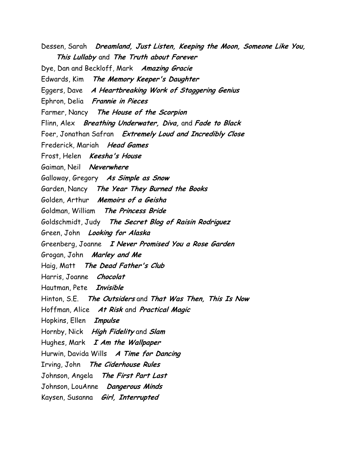Dessen, Sarah Dreamland, Just Listen, Keeping the Moon, Someone Like You, This Lullaby and The Truth about Forever Dye, Dan and Beckloff, Mark Amazing Gracie Edwards, Kim The Memory Keeper's Daughter Eggers, Dave A Heartbreaking Work of Staggering Genius Ephron, Delia Frannie in Pieces Farmer, Nancy The House of the Scorpion Flinn, Alex Breathing Underwater, Diva, and Fade to Black Foer, Jonathan Safran Extremely Loud and Incredibly Close Frederick, Mariah Head Games Frost, Helen Keesha's House Gaiman, Neil Neverwhere Galloway, Gregory As Simple as Snow Garden, Nancy The Year They Burned the Books Golden, Arthur Memoirs of a Geisha Goldman, William The Princess Bride Goldschmidt, Judy The Secret Blog of Raisin Rodriguez Green, John Looking for Alaska Greenberg, Joanne I Never Promised You a Rose Garden Grogan, John Marley and Me Haig, Matt The Dead Father's Club Harris, Joanne Chocolat Hautman, Pete Invisible Hinton, S.E. The Outsiders and That Was Then, This Is Now Hoffman, Alice At Risk and Practical Magic Hopkins, Ellen *Impulse* Hornby, Nick High Fidelity and Slam Hughes, Mark  $I$  Am the Wallpaper Hurwin, Davida Wills A Time for Dancing Irving, John The Ciderhouse Rules Johnson, Angela The First Part Last Johnson, LouAnne Dangerous Minds Kaysen, Susanna Girl, Interrupted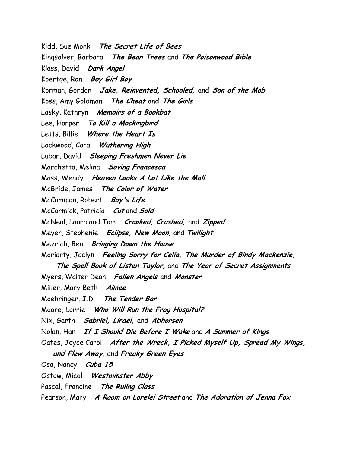Kidd, Sue Monk The Secret Life of Bees Kingsolver, Barbara The Bean Trees and The Poisonwood Bible Klass, David Dark Angel Koertge, Ron Boy Girl Boy Korman, Gordon Jake, Reinvented, Schooled, and Son of the Mob Koss, Amy Goldman The Cheat and The Girls Lasky, Kathryn Memoirs of a Bookbat Lee, Harper To Kill a Mockingbird Letts, Billie Where the Heart Is Lockwood, Cara Wuthering High Lubar, David Sleeping Freshmen Never Lie Marchetta, Melina Saving Francesca Mass, Wendy Heaven Looks A Lot Like the Mall McBride, James The Color of Water McCammon, Robert Boy's Life McCormick, Patricia Cut and Sold McNeal, Laura and Tom *Crooked, Crushed*, and Zipped Meyer, Stephenie Eclipse, New Moon, and Twilight Mezrich, Ben Bringing Down the House Moriarty, Jaclyn Feeling Sorry for Celia, The Murder of Bindy Mackenzie, The Spell Book of Listen Taylor, and The Year of Secret Assignments Myers, Walter Dean Fallen Angels and Monster Miller, Mary Beth Aimee Moehringer, J.D. The Tender Bar Moore, Lorrie Who Will Run the Frog Hospital? Nix, Garth **Sabriel, Lirael, and Abhorsen** Nolan, Han If I Should Die Before I Wake and A Summer of Kings Oates, Joyce Carol After the Wreck, I Picked Myself Up, Spread My Wings, and Flew Away, and Freaky Green Eyes Osa, Nancy Cuba 15 Ostow, Micol Westminster Abby Pascal, Francine The Ruling Class Pearson, Mary A Room on Lorelei Street and The Adoration of Jenna Fox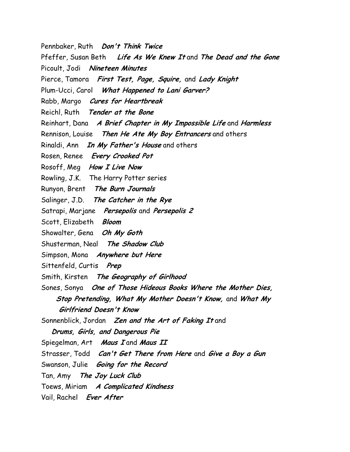Pennbaker, Ruth Don't Think Twice Pfeffer, Susan Beth Life As We Knew It and The Dead and the Gone Picoult, Jodi Nineteen Minutes Pierce, Tamora First Test, Page, Squire, and Lady Knight Plum-Ucci, Carol What Happened to Lani Garver? Rabb, Margo Cures for Heartbreak Reichl, Ruth Tender at the Bone Reinhart, Dana A Brief Chapter in My Impossible Life and Harmless Rennison, Louise Then He Ate My Boy Entrancers and others Rinaldi, Ann In My Father's House and others Rosen, Renee Every Crooked Pot Rosoff, Meg How I Live Now Rowling, J.K. The Harry Potter series Runyon, Brent The Burn Journals Salinger, J.D. The Catcher in the Rye Satrapi, Marjane Persepolis and Persepolis 2 Scott, Elizabeth Bloom Showalter, Gena Oh My Goth Shusterman, Neal The Shadow Club Simpson, Mona Anywhere but Here Sittenfeld, Curtis Prep Smith, Kirsten The Geography of Girlhood Sones, Sonya One of Those Hideous Books Where the Mother Dies, Stop Pretending, What My Mother Doesn't Know, and What My Girlfriend Doesn't Know Sonnenblick, Jordan Zen and the Art of Faking It and Drums, Girls, and Dangerous Pie Spiegelman, Art Maus I and Maus II Strasser, Todd Can't Get There from Here and Give a Boy a Gun Swanson, Julie Going for the Record Tan, Amy The Joy Luck Club Toews, Miriam A Complicated Kindness Vail, Rachel Ever After